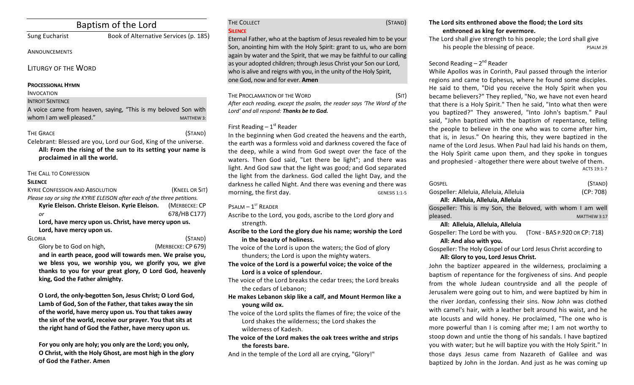# Baptism of the Lord

# Sung Eucharist Book of Alternative Services (p. 185)

**ANNOUNCEMENTS** 

LITURGY OF THE WORD

#### **PROCESSIONAL HYMN**

#### INVOCATION

#### **INTROIT SENTENCE**

A voice came from heaven, saying, "This is my beloved Son with whom I am well pleased." The state of the matter of the MATTHEW 3:

THE GRACE (STAND)

Celebrant: Blessed are you, Lord our God, King of the universe. All: From the rising of the sun to its setting your name is proclaimed in all the world.

### THE CALL TO CONFESSION

#### **SILENCE**

| <b>KYRIE CONFESSION AND ABSOLUTION</b>                                  | (KNEEL OR SIT) |
|-------------------------------------------------------------------------|----------------|
| Please say or sing the KYRIE ELEISON after each of the three petitions. |                |
| Kyrie Eleison. Christe Eleison. Kyrie Eleison.                          | (MERBECKE: CP  |
| or                                                                      | 678/HB C177)   |
| Lord, have mercy upon us. Christ, have mercy upon us.                   |                |
| Lord, have mercy upon us.                                               |                |
| <b>GLORIA</b>                                                           | (STAND)        |

Glory be to God on high, *(MERBECKE: CP 679)* and in earth peace, good will towards men. We praise you, we bless you, we worship you, we glorify you, we give thanks to you for your great glory, O Lord God, heavenly king, God the Father almighty.

O Lord, the only-begotten Son, Jesus Christ; O Lord God, Lamb of God, Son of the Father, that takes away the sin of the world, have mercy upon us. You that takes away the sin of the world, receive our prayer. You that sits at the right hand of God the Father, have mercy upon us.

For you only are holy; you only are the Lord; you only, **O** Christ, with the Holy Ghost, are most high in the glory **of God the Father. Amen**

#### THE COLLECT (STAND) **SILENCE**

Eternal Father, who at the baptism of Jesus revealed him to be your Son, anointing him with the Holy Spirit: grant to us, who are born again by water and the Spirit, that we may be faithful to our calling as your adopted children; through Jesus Christ your Son our Lord, who is alive and reigns with you, in the unity of the Holy Spirit, one God, now and for ever. **Amen**

THE PROCLAMATION OF THE WORD (SIT)

After each reading, except the psalm, the reader says 'The Word of the Lord' and all respond: Thanks be to God.

# First Reading  $-1<sup>st</sup>$  Reader

In the beginning when God created the heavens and the earth, the earth was a formless void and darkness covered the face of the deep, while a wind from God swept over the face of the waters. Then God said, "Let there be light"; and there was light. And God saw that the light was good; and God separated the light from the darkness. God called the light Day, and the darkness he called Night. And there was evening and there was morning, the first day. GENESIS 1:1-5

# $P$ SALM –  $1^{ST}$  READER

Ascribe to the Lord, you gods, ascribe to the Lord glory and strength. 

Ascribe to the Lord the glory due his name; worship the Lord in the beauty of holiness.

The voice of the Lord is upon the waters; the God of glory thunders; the Lord is upon the mighty waters.

The voice of the Lord is a powerful voice; the voice of the Lord is a voice of splendour.

The voice of the Lord breaks the cedar trees; the Lord breaks the cedars of Lebanon:

- He makes Lebanon skip like a calf, and Mount Hermon like a **young** wild ox.
- The voice of the Lord splits the flames of fire; the voice of the Lord shakes the wilderness; the Lord shakes the wilderness of Kadesh.
- The voice of the Lord makes the oak trees writhe and strips the forests bare.

And in the temple of the Lord all are crying, "Glory!"

## The Lord sits enthroned above the flood; the Lord sits enthroned as king for evermore.

The Lord shall give strength to his people; the Lord shall give his people the blessing of peace. The possible psalm 29

# Second Reading  $-2^{nd}$  Reader

While Apollos was in Corinth, Paul passed through the interior regions and came to Ephesus, where he found some disciples. He said to them, "Did you receive the Holy Spirit when you became believers?" They replied, "No, we have not even heard that there is a Holy Spirit." Then he said, "Into what then were you baptized?" They answered, "Into John's baptism." Paul said, "John baptized with the baptism of repentance, telling the people to believe in the one who was to come after him, that is, in Jesus." On hearing this, they were baptized in the name of the Lord Jesus. When Paul had laid his hands on them. the Holy Spirit came upon them, and they spoke in tongues and prophesied - altogether there were about twelve of them. ACTS 19:1-7

| <b>GOSPEL</b>                                               | (STAND)      |
|-------------------------------------------------------------|--------------|
| Gospeller: Alleluia, Alleluia, Alleluia                     | (CP: 708)    |
| All: Alleluia, Alleluia, Alleluia                           |              |
| Gospeller: This is my Son, the Beloved, with whom I am well |              |
| pleased.                                                    | MATTHEW 3:17 |

#### **All: Alleluia, Alleluia, Alleluia**

Gospeller: The Lord be with you. (TONE - BAS P.920 OR CP: 718) All: And also with you.

Gospeller: The Holy Gospel of our Lord Jesus Christ according to All: Glory to you, Lord Jesus Christ.

John the baptizer appeared in the wilderness, proclaiming a baptism of repentance for the forgiveness of sins. And people from the whole Judean countryside and all the people of Jerusalem were going out to him, and were baptized by him in the river Jordan, confessing their sins. Now John was clothed with camel's hair, with a leather belt around his waist, and he ate locusts and wild honey. He proclaimed, "The one who is more powerful than I is coming after me; I am not worthy to stoop down and untie the thong of his sandals. I have baptized you with water; but he will baptize you with the Holy Spirit." In those days Jesus came from Nazareth of Galilee and was baptized by John in the Jordan. And just as he was coming up